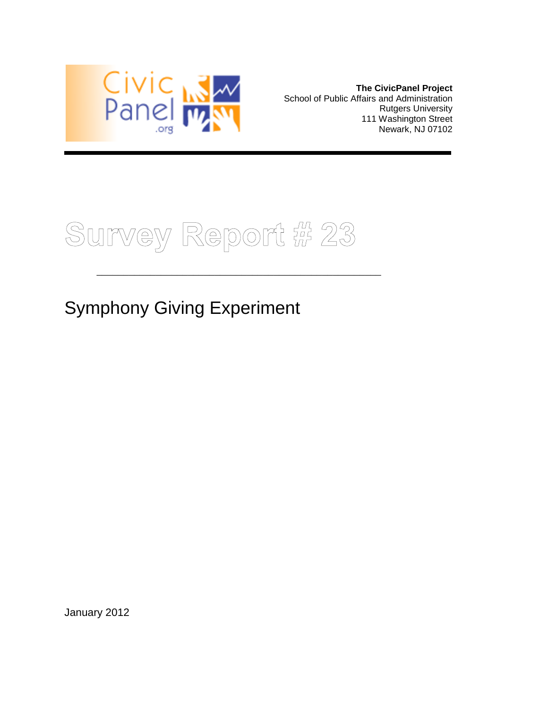

**The CivicPanel Project** School of Public Affairs and Administration Rutgers University 111 Washington Street Newark, NJ 07102



\_\_\_\_\_\_\_\_\_\_\_\_\_\_\_\_\_\_\_\_\_\_\_\_\_\_\_\_\_\_\_\_\_\_\_\_\_\_\_\_\_\_\_\_\_\_\_\_\_\_\_\_\_

Symphony Giving Experiment

January 2012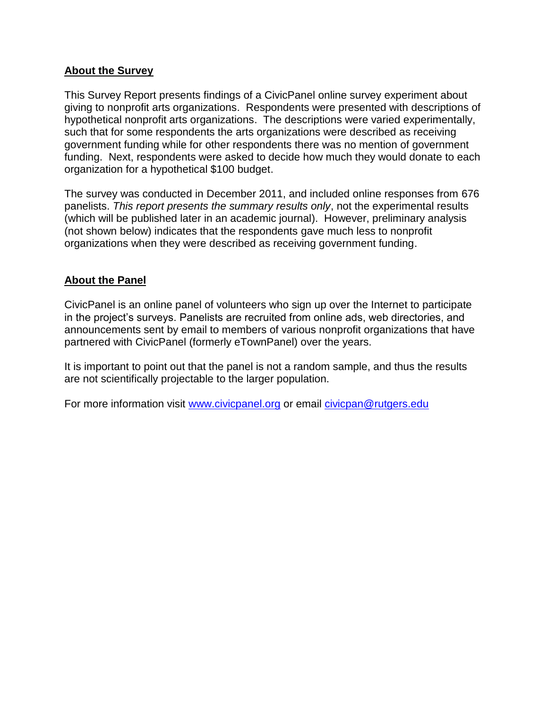#### **About the Survey**

This Survey Report presents findings of a CivicPanel online survey experiment about giving to nonprofit arts organizations. Respondents were presented with descriptions of hypothetical nonprofit arts organizations. The descriptions were varied experimentally, such that for some respondents the arts organizations were described as receiving government funding while for other respondents there was no mention of government funding. Next, respondents were asked to decide how much they would donate to each organization for a hypothetical \$100 budget.

The survey was conducted in December 2011, and included online responses from 676 panelists. *This report presents the summary results only*, not the experimental results (which will be published later in an academic journal). However, preliminary analysis (not shown below) indicates that the respondents gave much less to nonprofit organizations when they were described as receiving government funding.

#### **About the Panel**

CivicPanel is an online panel of volunteers who sign up over the Internet to participate in the project's surveys. Panelists are recruited from online ads, web directories, and announcements sent by email to members of various nonprofit organizations that have partnered with CivicPanel (formerly eTownPanel) over the years.

It is important to point out that the panel is not a random sample, and thus the results are not scientifically projectable to the larger population.

For more information visit [www.civicpanel.org](http://www.civicpanel.org/) or email [civicpan@rutgers.edu](mailto:civicpan@rutgers.edu)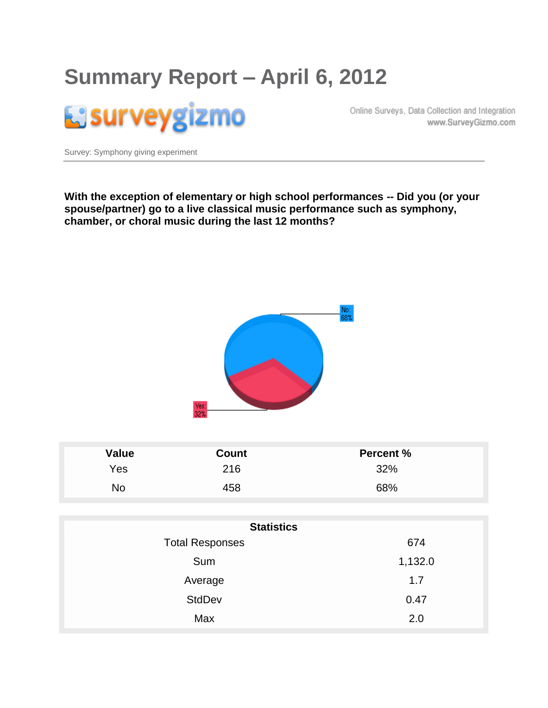# **Summary Report – April 6, 2012**



Online Surveys, Data Collection and Integration www.SurveyGizmo.com

Survey: Symphony giving experiment

**With the exception of elementary or high school performances -- Did you (or your spouse/partner) go to a live classical music performance such as symphony, chamber, or choral music during the last 12 months?**



| Value | Count | <b>Percent %</b> |
|-------|-------|------------------|
| Yes   | 216   | 32%              |
| No    | 458   | 68%              |

| <b>Statistics</b>      |         |  |  |
|------------------------|---------|--|--|
| <b>Total Responses</b> | 674     |  |  |
| Sum                    | 1,132.0 |  |  |
| Average                | 1.7     |  |  |
| <b>StdDev</b>          | 0.47    |  |  |
| Max                    | 2.0     |  |  |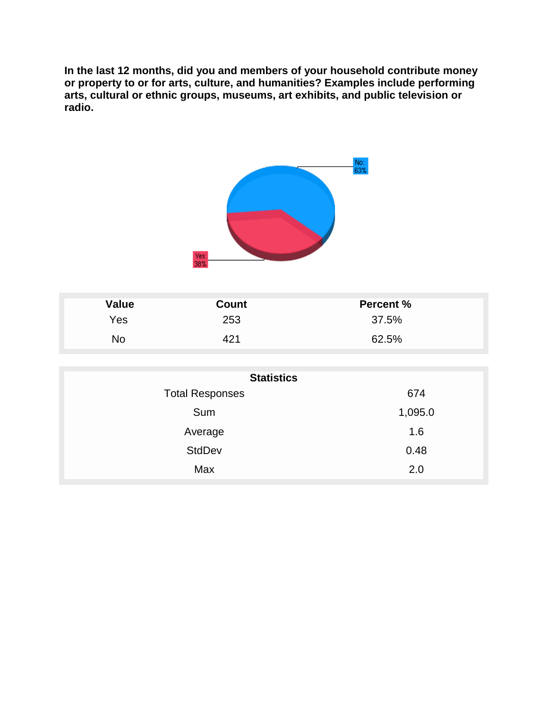**In the last 12 months, did you and members of your household contribute money or property to or for arts, culture, and humanities? Examples include performing arts, cultural or ethnic groups, museums, art exhibits, and public television or radio.**



| Value | <b>Count</b> | <b>Percent %</b> |
|-------|--------------|------------------|
| Yes   | 253          | 37.5%            |
| No    | $\Delta$ 21  | 62.5%            |

| <b>Statistics</b>      |         |  |  |
|------------------------|---------|--|--|
| <b>Total Responses</b> | 674     |  |  |
| Sum                    | 1,095.0 |  |  |
| Average                | 1.6     |  |  |
| <b>StdDev</b>          | 0.48    |  |  |
| Max                    | 2.0     |  |  |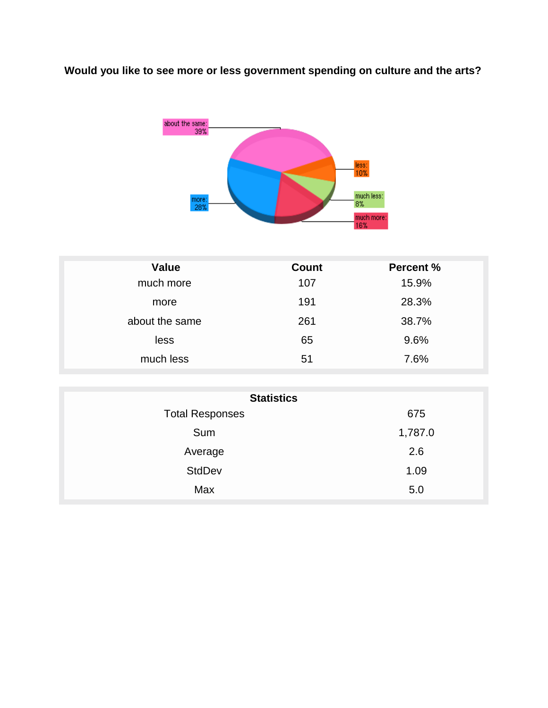### **Would you like to see more or less government spending on culture and the arts?**



| <b>Value</b>   | <b>Count</b> | <b>Percent %</b> |
|----------------|--------------|------------------|
| much more      | 107          | 15.9%            |
| more           | 191          | 28.3%            |
| about the same | 261          | 38.7%            |
| less           | 65           | 9.6%             |
| much less      | 51           | 7.6%             |

| <b>Statistics</b>      |         |  |  |
|------------------------|---------|--|--|
| <b>Total Responses</b> | 675     |  |  |
| Sum                    | 1,787.0 |  |  |
| Average                | 2.6     |  |  |
| <b>StdDev</b>          | 1.09    |  |  |
| Max                    | 5.0     |  |  |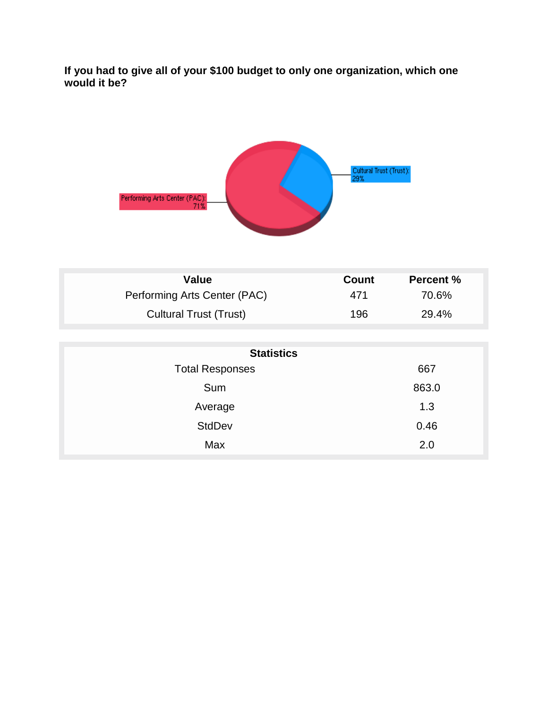**If you had to give all of your \$100 budget to only one organization, which one would it be?**



| Value                         | <b>Count</b> | <b>Percent %</b> |
|-------------------------------|--------------|------------------|
| Performing Arts Center (PAC)  | 471          | 70.6%            |
| <b>Cultural Trust (Trust)</b> | 196          | 29.4%            |

| <b>Statistics</b>      |       |  |  |
|------------------------|-------|--|--|
| <b>Total Responses</b> | 667   |  |  |
| Sum                    | 863.0 |  |  |
| Average                | 1.3   |  |  |
| <b>StdDev</b>          | 0.46  |  |  |
| Max                    | 2.0   |  |  |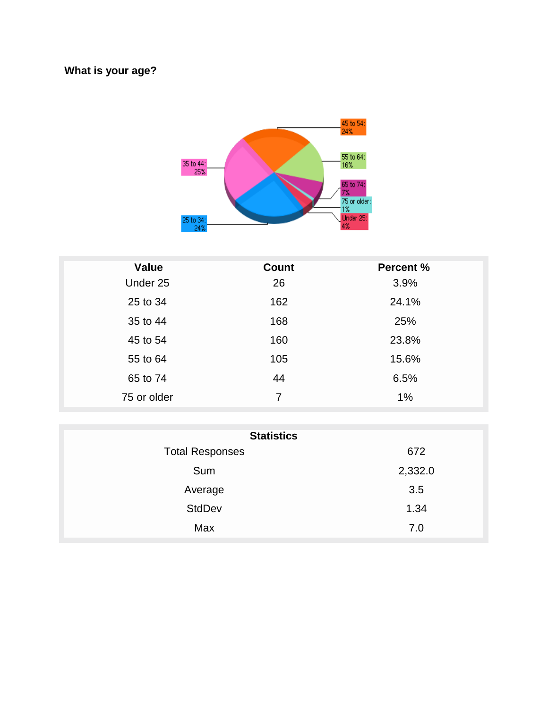### **What is your age?**



| <b>Value</b> | <b>Count</b> | <b>Percent %</b> |
|--------------|--------------|------------------|
| Under 25     | 26           | 3.9%             |
| 25 to 34     | 162          | 24.1%            |
| 35 to 44     | 168          | 25%              |
| 45 to 54     | 160          | 23.8%            |
| 55 to 64     | 105          | 15.6%            |
| 65 to 74     | 44           | 6.5%             |
| 75 or older  | 7            | 1%               |

| <b>Statistics</b>      |         |  |  |
|------------------------|---------|--|--|
| <b>Total Responses</b> | 672     |  |  |
| Sum                    | 2,332.0 |  |  |
| Average                | 3.5     |  |  |
| <b>StdDev</b>          | 1.34    |  |  |
| Max                    | 7.0     |  |  |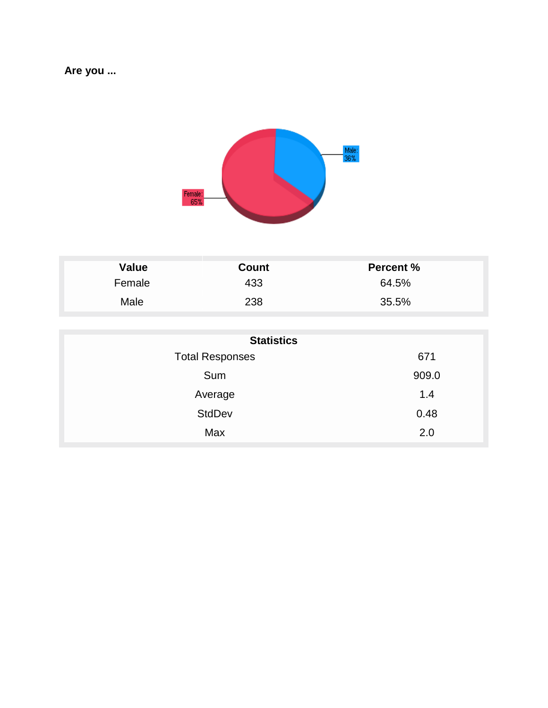### **Are you ...**



| Value  | Count | <b>Percent %</b> |
|--------|-------|------------------|
| Female | 433   | 64.5%            |
| Male   | 238   | 35.5%            |

| <b>Statistics</b>      |       |  |
|------------------------|-------|--|
| <b>Total Responses</b> | 671   |  |
| Sum                    | 909.0 |  |
| Average                | 1.4   |  |
| <b>StdDev</b>          | 0.48  |  |
| Max                    | 2.0   |  |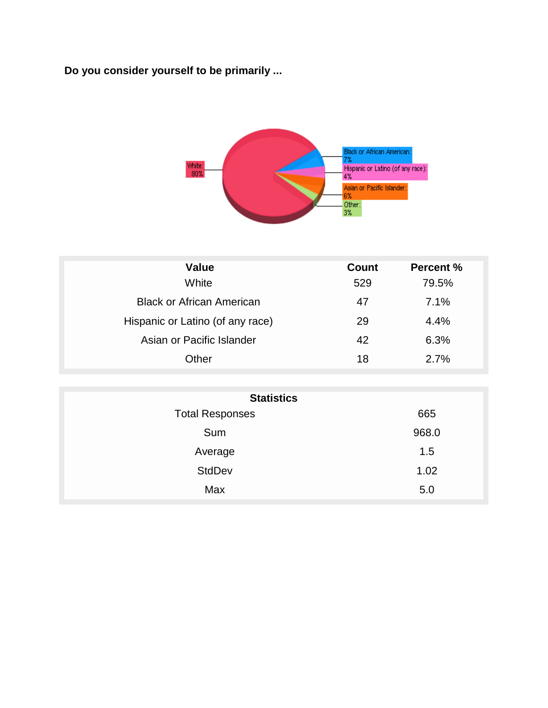## **Do you consider yourself to be primarily ...**



| <b>Value</b>                     | Count | <b>Percent %</b> |
|----------------------------------|-------|------------------|
| White                            | 529   | 79.5%            |
| <b>Black or African American</b> | 47    | 7.1%             |
| Hispanic or Latino (of any race) | 29    | 4.4%             |
| Asian or Pacific Islander        | 42    | 6.3%             |
| Other                            | 18    | 2.7%             |

| <b>Statistics</b>      |       |  |
|------------------------|-------|--|
| <b>Total Responses</b> | 665   |  |
| Sum                    | 968.0 |  |
| Average                | 1.5   |  |
| <b>StdDev</b>          | 1.02  |  |
| Max                    | 5.0   |  |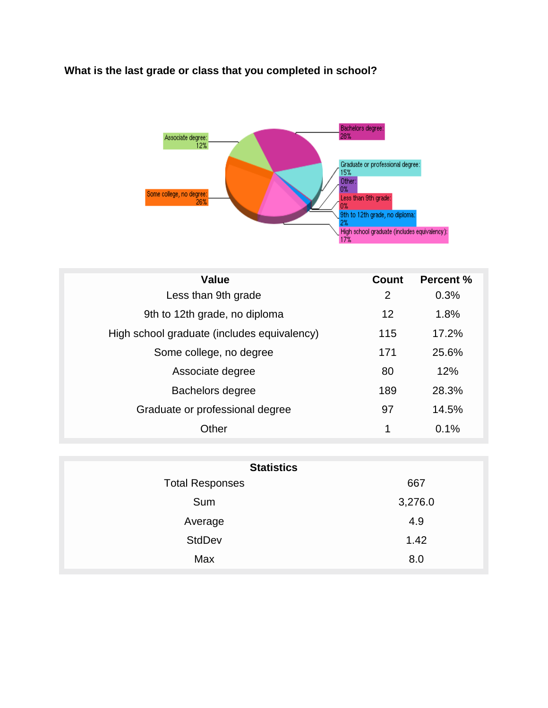#### **What is the last grade or class that you completed in school?**



| <b>Value</b>                                | Count | Percent % |
|---------------------------------------------|-------|-----------|
| Less than 9th grade                         | 2     | 0.3%      |
| 9th to 12th grade, no diploma               | 12    | 1.8%      |
| High school graduate (includes equivalency) | 115   | 17.2%     |
| Some college, no degree                     | 171   | 25.6%     |
| Associate degree                            | 80    | 12%       |
| Bachelors degree                            | 189   | 28.3%     |
| Graduate or professional degree             | 97    | 14.5%     |
| Other                                       | 1     | 0.1%      |

| <b>Statistics</b>      |         |  |
|------------------------|---------|--|
| <b>Total Responses</b> | 667     |  |
| Sum                    | 3,276.0 |  |
| Average                | 4.9     |  |
| <b>StdDev</b>          | 1.42    |  |
| Max                    | 8.0     |  |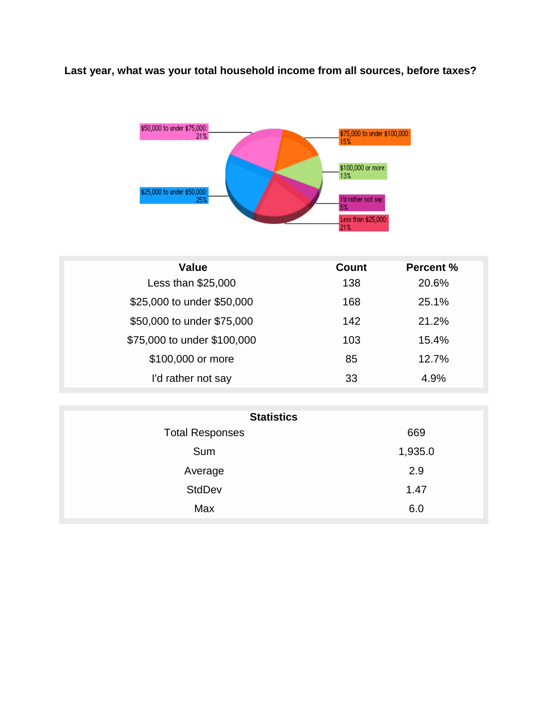#### **Last year, what was your total household income from all sources, before taxes?**



| <b>Value</b>                | <b>Count</b> | <b>Percent %</b> |
|-----------------------------|--------------|------------------|
| Less than \$25,000          | 138          | 20.6%            |
| \$25,000 to under \$50,000  | 168          | 25.1%            |
| \$50,000 to under \$75,000  | 142          | 21.2%            |
| \$75,000 to under \$100,000 | 103          | 15.4%            |
| \$100,000 or more           | 85           | 12.7%            |
| I'd rather not say          | 33           | 4.9%             |

| <b>Statistics</b>      |         |  |
|------------------------|---------|--|
| <b>Total Responses</b> | 669     |  |
| Sum                    | 1,935.0 |  |
| Average                | 2.9     |  |
| <b>StdDev</b>          | 1.47    |  |
| Max                    | 6.0     |  |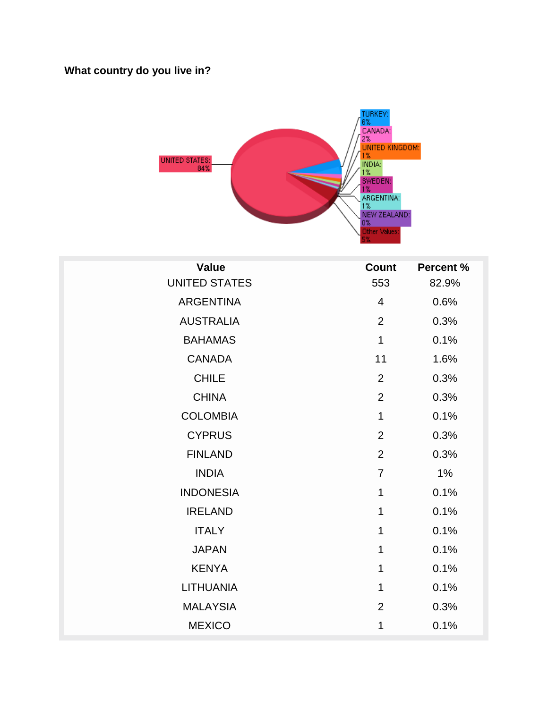## **What country do you live in?**



| <b>Value</b>         | <b>Count</b>   | <b>Percent %</b> |
|----------------------|----------------|------------------|
| <b>UNITED STATES</b> | 553            | 82.9%            |
| <b>ARGENTINA</b>     | 4              | 0.6%             |
| <b>AUSTRALIA</b>     | $\overline{2}$ | 0.3%             |
| <b>BAHAMAS</b>       | $\mathbf{1}$   | 0.1%             |
| <b>CANADA</b>        | 11             | 1.6%             |
| <b>CHILE</b>         | $\overline{2}$ | 0.3%             |
| <b>CHINA</b>         | $\overline{2}$ | 0.3%             |
| <b>COLOMBIA</b>      | $\mathbf{1}$   | 0.1%             |
| <b>CYPRUS</b>        | $\overline{2}$ | 0.3%             |
| <b>FINLAND</b>       | $\overline{2}$ | 0.3%             |
| <b>INDIA</b>         | $\overline{7}$ | 1%               |
| <b>INDONESIA</b>     | $\mathbf 1$    | 0.1%             |
| <b>IRELAND</b>       | 1              | 0.1%             |
| <b>ITALY</b>         | 1              | 0.1%             |
| <b>JAPAN</b>         | 1              | 0.1%             |
| <b>KENYA</b>         | 1              | 0.1%             |
| <b>LITHUANIA</b>     | 1              | 0.1%             |
| <b>MALAYSIA</b>      | $\overline{2}$ | 0.3%             |
| <b>MEXICO</b>        | 1              | 0.1%             |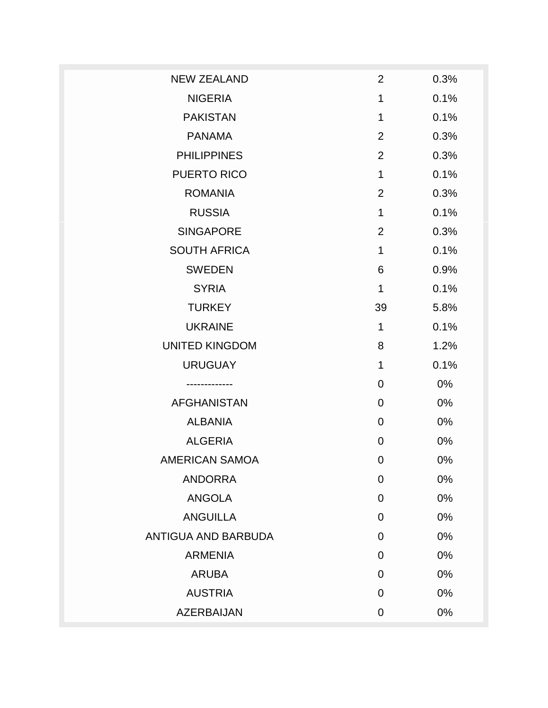| <b>NEW ZEALAND</b>         | $\overline{2}$ | 0.3% |
|----------------------------|----------------|------|
| <b>NIGERIA</b>             | 1              | 0.1% |
| <b>PAKISTAN</b>            | 1              | 0.1% |
| <b>PANAMA</b>              | $\overline{2}$ | 0.3% |
| <b>PHILIPPINES</b>         | $\overline{2}$ | 0.3% |
| <b>PUERTO RICO</b>         | 1              | 0.1% |
| <b>ROMANIA</b>             | $\overline{2}$ | 0.3% |
| <b>RUSSIA</b>              | 1              | 0.1% |
| <b>SINGAPORE</b>           | $\overline{2}$ | 0.3% |
| <b>SOUTH AFRICA</b>        | 1              | 0.1% |
| <b>SWEDEN</b>              | 6              | 0.9% |
| <b>SYRIA</b>               | 1              | 0.1% |
| <b>TURKEY</b>              | 39             | 5.8% |
| <b>UKRAINE</b>             | 1              | 0.1% |
| <b>UNITED KINGDOM</b>      | 8              | 1.2% |
| <b>URUGUAY</b>             | 1              | 0.1% |
|                            | 0              | 0%   |
| <b>AFGHANISTAN</b>         | 0              | 0%   |
| <b>ALBANIA</b>             | 0              | 0%   |
| <b>ALGERIA</b>             | 0              | 0%   |
| <b>AMERICAN SAMOA</b>      | $\mathbf 0$    | 0%   |
| <b>ANDORRA</b>             | $\mathbf 0$    | 0%   |
| ANGOLA                     | 0              | 0%   |
| <b>ANGUILLA</b>            | 0              | 0%   |
| <b>ANTIGUA AND BARBUDA</b> | 0              | 0%   |
| <b>ARMENIA</b>             | $\overline{0}$ | 0%   |
| <b>ARUBA</b>               | 0              | 0%   |
| <b>AUSTRIA</b>             | 0              | 0%   |
| <b>AZERBAIJAN</b>          | 0              | 0%   |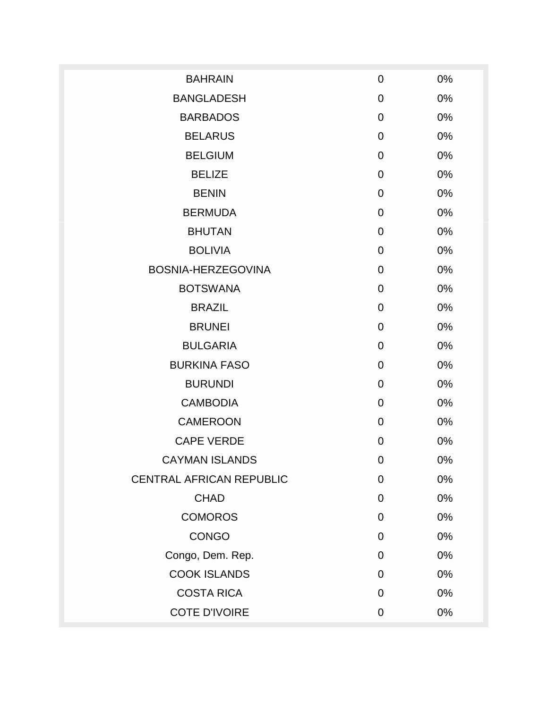| <b>BAHRAIN</b>                  | $\mathbf 0$    | 0% |
|---------------------------------|----------------|----|
| <b>BANGLADESH</b>               | $\mathbf 0$    | 0% |
| <b>BARBADOS</b>                 | $\overline{0}$ | 0% |
| <b>BELARUS</b>                  | $\mathbf 0$    | 0% |
| <b>BELGIUM</b>                  | $\mathbf 0$    | 0% |
| <b>BELIZE</b>                   | $\mathbf 0$    | 0% |
| <b>BENIN</b>                    | $\mathbf 0$    | 0% |
| <b>BERMUDA</b>                  | $\mathbf 0$    | 0% |
| <b>BHUTAN</b>                   | $\mathbf 0$    | 0% |
| <b>BOLIVIA</b>                  | $\mathbf 0$    | 0% |
| BOSNIA-HERZEGOVINA              | $\mathbf 0$    | 0% |
| <b>BOTSWANA</b>                 | $\mathbf 0$    | 0% |
| <b>BRAZIL</b>                   | $\mathbf 0$    | 0% |
| <b>BRUNEI</b>                   | $\mathbf 0$    | 0% |
| <b>BULGARIA</b>                 | $\mathbf 0$    | 0% |
| <b>BURKINA FASO</b>             | $\mathbf 0$    | 0% |
| <b>BURUNDI</b>                  | $\mathbf 0$    | 0% |
| <b>CAMBODIA</b>                 | $\mathbf 0$    | 0% |
| <b>CAMEROON</b>                 | $\mathbf 0$    | 0% |
| <b>CAPE VERDE</b>               | $\mathbf 0$    | 0% |
| <b>CAYMAN ISLANDS</b>           | $\mathbf 0$    | 0% |
| <b>CENTRAL AFRICAN REPUBLIC</b> | $\mathbf 0$    | 0% |
| <b>CHAD</b>                     | $\mathbf 0$    | 0% |
| <b>COMOROS</b>                  | $\mathbf 0$    | 0% |
| <b>CONGO</b>                    | $\mathbf 0$    | 0% |
| Congo, Dem. Rep.                | $\mathbf 0$    | 0% |
| <b>COOK ISLANDS</b>             | $\mathbf 0$    | 0% |
| <b>COSTA RICA</b>               | $\mathbf 0$    | 0% |
| <b>COTE D'IVOIRE</b>            | $\mathbf 0$    | 0% |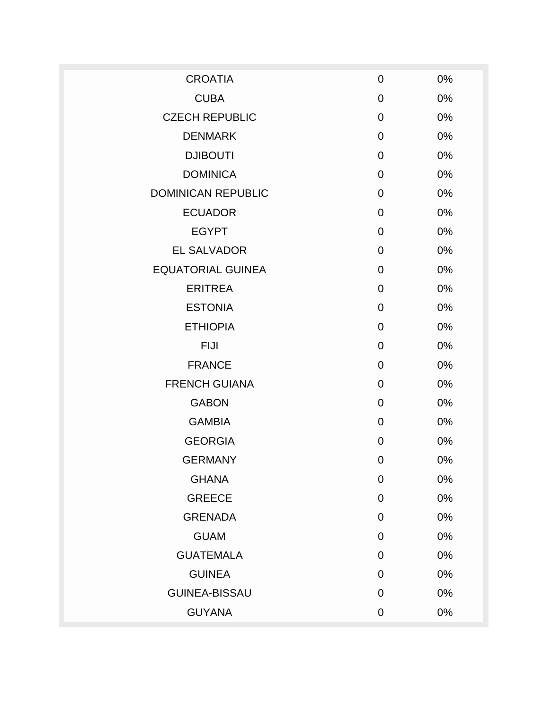| <b>CROATIA</b>            | $\mathbf 0$    | 0% |
|---------------------------|----------------|----|
| <b>CUBA</b>               | $\mathbf 0$    | 0% |
| <b>CZECH REPUBLIC</b>     | $\overline{0}$ | 0% |
| <b>DENMARK</b>            | $\overline{0}$ | 0% |
| <b>DJIBOUTI</b>           | $\mathbf 0$    | 0% |
| <b>DOMINICA</b>           | $\mathbf 0$    | 0% |
| <b>DOMINICAN REPUBLIC</b> | $\overline{0}$ | 0% |
| <b>ECUADOR</b>            | $\overline{0}$ | 0% |
| <b>EGYPT</b>              | $\overline{0}$ | 0% |
| <b>EL SALVADOR</b>        | $\overline{0}$ | 0% |
| <b>EQUATORIAL GUINEA</b>  | $\mathbf 0$    | 0% |
| <b>ERITREA</b>            | $\overline{0}$ | 0% |
| <b>ESTONIA</b>            | $\mathbf 0$    | 0% |
| <b>ETHIOPIA</b>           | $\overline{0}$ | 0% |
| <b>FIJI</b>               | $\mathbf 0$    | 0% |
| <b>FRANCE</b>             | $\overline{0}$ | 0% |
| <b>FRENCH GUIANA</b>      | $\overline{0}$ | 0% |
| <b>GABON</b>              | $\overline{0}$ | 0% |
| <b>GAMBIA</b>             | $\overline{0}$ | 0% |
| <b>GEORGIA</b>            | $\mathbf 0$    | 0% |
| <b>GERMANY</b>            | $\mathbf 0$    | 0% |
| <b>GHANA</b>              | $\mathbf 0$    | 0% |
| <b>GREECE</b>             | $\mathbf 0$    | 0% |
| <b>GRENADA</b>            | $\mathbf 0$    | 0% |
| <b>GUAM</b>               | $\mathbf 0$    | 0% |
| <b>GUATEMALA</b>          | $\mathbf 0$    | 0% |
| <b>GUINEA</b>             | $\overline{0}$ | 0% |
| <b>GUINEA-BISSAU</b>      | $\overline{0}$ | 0% |
| <b>GUYANA</b>             | $\mathbf 0$    | 0% |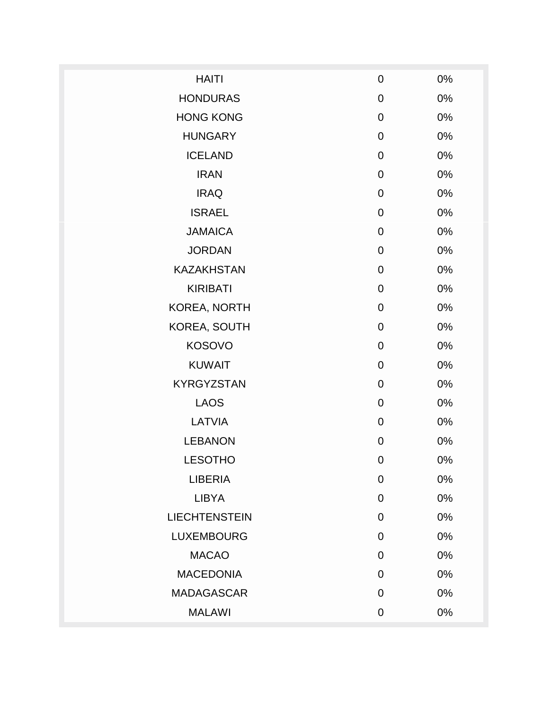| <b>HAITI</b>         | $\mathbf 0$    | 0%    |
|----------------------|----------------|-------|
| <b>HONDURAS</b>      | $\mathbf 0$    | 0%    |
| <b>HONG KONG</b>     | $\mathbf 0$    | 0%    |
| <b>HUNGARY</b>       | $\mathbf 0$    | 0%    |
| <b>ICELAND</b>       | $\mathbf 0$    | 0%    |
| <b>IRAN</b>          | $\mathbf 0$    | 0%    |
| <b>IRAQ</b>          | $\mathbf 0$    | 0%    |
| <b>ISRAEL</b>        | $\mathbf 0$    | 0%    |
| <b>JAMAICA</b>       | $\mathbf 0$    | 0%    |
| <b>JORDAN</b>        | $\mathbf 0$    | 0%    |
| <b>KAZAKHSTAN</b>    | $\mathbf 0$    | $0\%$ |
| <b>KIRIBATI</b>      | $\mathbf 0$    | 0%    |
| KOREA, NORTH         | $\mathbf 0$    | 0%    |
| KOREA, SOUTH         | $\mathbf 0$    | 0%    |
| <b>KOSOVO</b>        | $\mathbf 0$    | $0\%$ |
| <b>KUWAIT</b>        | $\mathbf 0$    | 0%    |
| <b>KYRGYZSTAN</b>    | $\overline{0}$ | 0%    |
| <b>LAOS</b>          | $\mathbf 0$    | 0%    |
| <b>LATVIA</b>        | $\mathbf 0$    | 0%    |
| <b>LEBANON</b>       | $\mathbf 0$    | $0\%$ |
| <b>LESOTHO</b>       | $\mathbf 0$    | 0%    |
| <b>LIBERIA</b>       | $\mathbf 0$    | 0%    |
| <b>LIBYA</b>         | $\mathbf 0$    | 0%    |
| <b>LIECHTENSTEIN</b> | $\mathbf 0$    | 0%    |
| <b>LUXEMBOURG</b>    | $\mathbf 0$    | 0%    |
| <b>MACAO</b>         | $\mathbf 0$    | 0%    |
| <b>MACEDONIA</b>     | $\overline{0}$ | 0%    |
| <b>MADAGASCAR</b>    | $\overline{0}$ | 0%    |
| <b>MALAWI</b>        | $\mathbf 0$    | 0%    |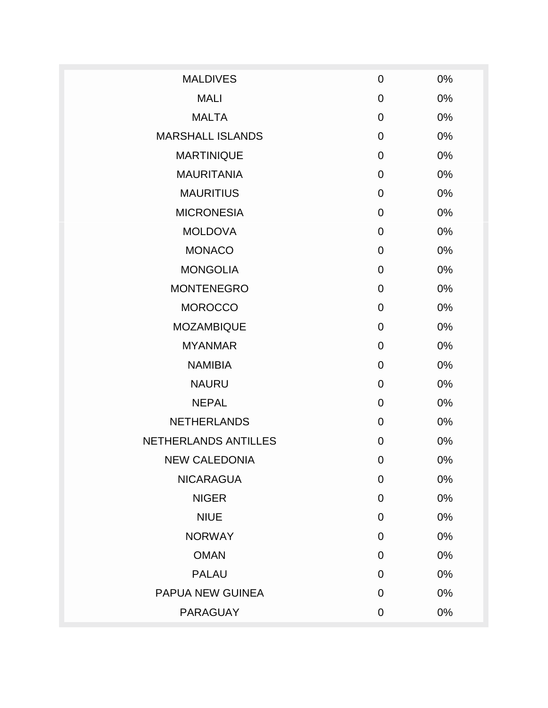| <b>MALDIVES</b>         | $\overline{0}$ | 0% |
|-------------------------|----------------|----|
| <b>MALI</b>             | $\mathbf 0$    | 0% |
| <b>MALTA</b>            | $\overline{0}$ | 0% |
| <b>MARSHALL ISLANDS</b> | $\overline{0}$ | 0% |
| <b>MARTINIQUE</b>       | $\overline{0}$ | 0% |
| <b>MAURITANIA</b>       | $\mathbf 0$    | 0% |
| <b>MAURITIUS</b>        | $\overline{0}$ | 0% |
| <b>MICRONESIA</b>       | $\overline{0}$ | 0% |
| <b>MOLDOVA</b>          | 0              | 0% |
| <b>MONACO</b>           | $\overline{0}$ | 0% |
| <b>MONGOLIA</b>         | $\mathbf 0$    | 0% |
| <b>MONTENEGRO</b>       | $\overline{0}$ | 0% |
| <b>MOROCCO</b>          | $\mathbf 0$    | 0% |
| <b>MOZAMBIQUE</b>       | $\overline{0}$ | 0% |
| <b>MYANMAR</b>          | $\overline{0}$ | 0% |
| <b>NAMIBIA</b>          | $\overline{0}$ | 0% |
| <b>NAURU</b>            | $\overline{0}$ | 0% |
| <b>NEPAL</b>            | 0              | 0% |
| <b>NETHERLANDS</b>      | $\overline{0}$ | 0% |
| NETHERLANDS ANTILLES    | $\mathbf 0$    | 0% |
| <b>NEW CALEDONIA</b>    | $\mathbf 0$    | 0% |
| <b>NICARAGUA</b>        | $\mathbf 0$    | 0% |
| <b>NIGER</b>            | $\mathbf 0$    | 0% |
| <b>NIUE</b>             | $\mathbf 0$    | 0% |
| <b>NORWAY</b>           | $\mathbf 0$    | 0% |
| <b>OMAN</b>             | $\mathbf 0$    | 0% |
| <b>PALAU</b>            | $\mathbf 0$    | 0% |
| PAPUA NEW GUINEA        | $\mathbf 0$    | 0% |
| <b>PARAGUAY</b>         | $\pmb{0}$      | 0% |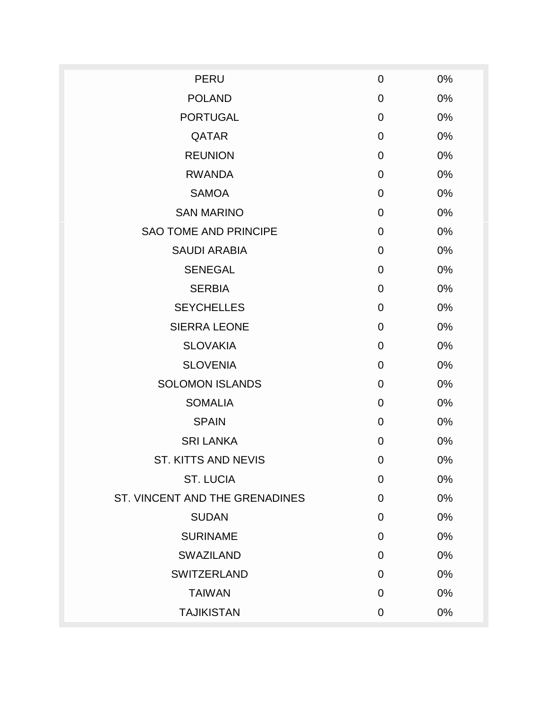| <b>PERU</b>                    | $\mathbf 0$    | 0% |
|--------------------------------|----------------|----|
| <b>POLAND</b>                  | $\mathbf 0$    | 0% |
| <b>PORTUGAL</b>                | $\overline{0}$ | 0% |
| QATAR                          | $\mathbf 0$    | 0% |
| <b>REUNION</b>                 | $\mathbf 0$    | 0% |
| <b>RWANDA</b>                  | $\mathbf 0$    | 0% |
| <b>SAMOA</b>                   | $\mathbf 0$    | 0% |
| <b>SAN MARINO</b>              | $\Omega$       | 0% |
| <b>SAO TOME AND PRINCIPE</b>   | $\mathbf 0$    | 0% |
| <b>SAUDI ARABIA</b>            | $\mathbf 0$    | 0% |
| <b>SENEGAL</b>                 | $\mathbf 0$    | 0% |
| <b>SERBIA</b>                  | $\overline{0}$ | 0% |
| <b>SEYCHELLES</b>              | $\overline{0}$ | 0% |
| <b>SIERRA LEONE</b>            | $\overline{0}$ | 0% |
| <b>SLOVAKIA</b>                | $\mathbf 0$    | 0% |
| <b>SLOVENIA</b>                | $\mathbf 0$    | 0% |
| <b>SOLOMON ISLANDS</b>         | $\mathbf 0$    | 0% |
| <b>SOMALIA</b>                 | $\overline{0}$ | 0% |
| <b>SPAIN</b>                   | $\mathbf 0$    | 0% |
| <b>SRI LANKA</b>               | $\overline{0}$ | 0% |
| <b>ST. KITTS AND NEVIS</b>     | $\overline{0}$ | 0% |
| <b>ST. LUCIA</b>               | $\mathbf 0$    | 0% |
| ST. VINCENT AND THE GRENADINES | $\overline{0}$ | 0% |
| <b>SUDAN</b>                   | $\mathbf 0$    | 0% |
| <b>SURINAME</b>                | $\mathbf 0$    | 0% |
| <b>SWAZILAND</b>               | $\mathbf 0$    | 0% |
| <b>SWITZERLAND</b>             | $\mathbf 0$    | 0% |
| <b>TAIWAN</b>                  | $\overline{0}$ | 0% |
| <b>TAJIKISTAN</b>              | $\mathbf 0$    | 0% |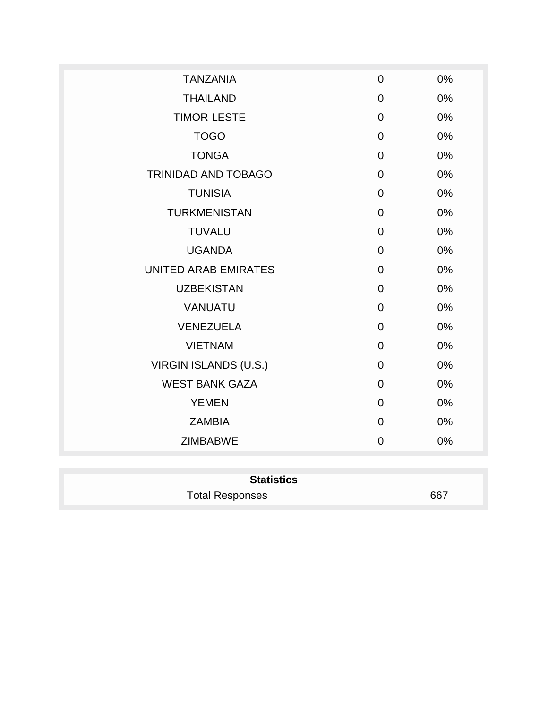| <b>TANZANIA</b>             | $\overline{0}$ | 0% |
|-----------------------------|----------------|----|
| <b>THAILAND</b>             | $\mathbf 0$    | 0% |
| <b>TIMOR-LESTE</b>          | $\mathbf 0$    | 0% |
| <b>TOGO</b>                 | $\overline{0}$ | 0% |
| <b>TONGA</b>                | $\mathbf 0$    | 0% |
| TRINIDAD AND TOBAGO         | $\mathbf 0$    | 0% |
| <b>TUNISIA</b>              | $\mathbf 0$    | 0% |
| <b>TURKMENISTAN</b>         | $\mathbf 0$    | 0% |
| <b>TUVALU</b>               | $\overline{0}$ | 0% |
| <b>UGANDA</b>               | $\mathbf 0$    | 0% |
| <b>UNITED ARAB EMIRATES</b> | $\mathbf 0$    | 0% |
| <b>UZBEKISTAN</b>           | $\overline{0}$ | 0% |
| <b>VANUATU</b>              | $\mathbf 0$    | 0% |
| <b>VENEZUELA</b>            | $\overline{0}$ | 0% |
| <b>VIETNAM</b>              | $\overline{0}$ | 0% |
| VIRGIN ISLANDS (U.S.)       | $\mathbf 0$    | 0% |
| <b>WEST BANK GAZA</b>       | $\mathbf 0$    | 0% |
| <b>YEMEN</b>                | $\mathbf 0$    | 0% |
| <b>ZAMBIA</b>               | $\mathbf 0$    | 0% |
| <b>ZIMBABWE</b>             | $\mathbf 0$    | 0% |
|                             |                |    |

| <b>Statistics</b>      |     |  |
|------------------------|-----|--|
| <b>Total Responses</b> | 667 |  |
|                        |     |  |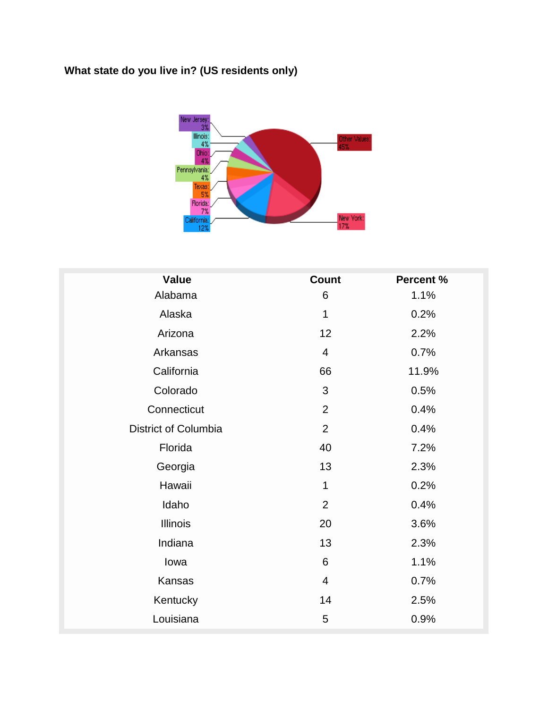# **What state do you live in? (US residents only)**



| <b>Value</b>                | <b>Count</b>    | <b>Percent %</b> |
|-----------------------------|-----------------|------------------|
| Alabama                     | 6               | 1.1%             |
| Alaska                      | 1               | 0.2%             |
| Arizona                     | 12              | 2.2%             |
| Arkansas                    | $\overline{4}$  | 0.7%             |
| California                  | 66              | 11.9%            |
| Colorado                    | 3               | 0.5%             |
| Connecticut                 | $\overline{2}$  | 0.4%             |
| <b>District of Columbia</b> | $\overline{2}$  | 0.4%             |
| Florida                     | 40              | 7.2%             |
| Georgia                     | 13              | 2.3%             |
| Hawaii                      | 1               | 0.2%             |
| Idaho                       | $\overline{2}$  | 0.4%             |
| <b>Illinois</b>             | 20              | 3.6%             |
| Indiana                     | 13              | 2.3%             |
| lowa                        | $6\phantom{1}6$ | 1.1%             |
| Kansas                      | $\overline{4}$  | 0.7%             |
| Kentucky                    | 14              | 2.5%             |
| Louisiana                   | 5               | 0.9%             |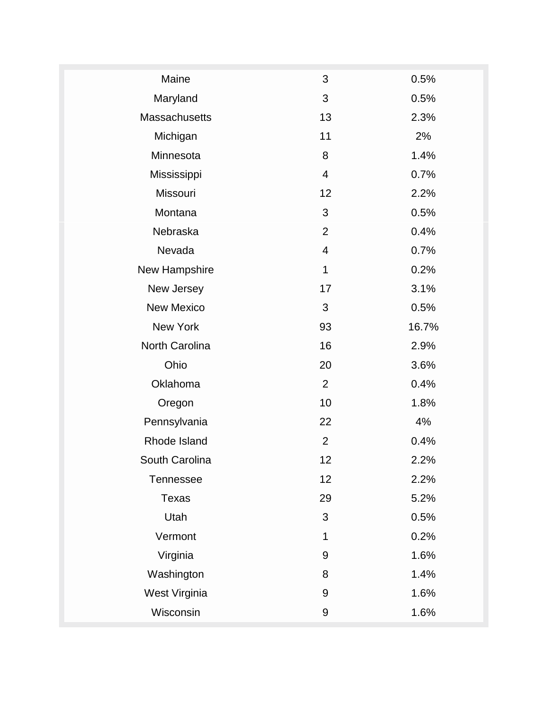| Maine<br>$\mathfrak{S}$<br>0.5%<br>Maryland<br>3<br>0.5%<br>13<br>Massachusetts<br>2.3%<br>Michigan<br>11<br>2%<br>Minnesota<br>8<br>1.4%<br>Mississippi<br>0.7%<br>4<br>Missouri<br>12<br>2.2%<br>3<br>Montana<br>0.5%<br>Nebraska<br>$\overline{2}$<br>0.4%<br>Nevada<br>4<br>0.7%<br>New Hampshire<br>1<br>0.2%<br>New Jersey<br>17<br>3.1%<br><b>New Mexico</b><br>3<br>0.5%<br>New York<br>93<br>16.7%<br>North Carolina<br>16<br>2.9%<br>Ohio<br>20<br>3.6%<br>$\overline{2}$<br>Oklahoma<br>0.4%<br>10<br>1.8%<br>Oregon<br>Pennsylvania<br>22<br>4%<br>$\overline{2}$<br>Rhode Island<br>0.4%<br>South Carolina<br>12<br>2.2%<br>12<br>2.2%<br><b>Tennessee</b><br>29<br>5.2%<br>Texas<br>3<br>Utah<br>0.5%<br>Vermont<br>1<br>0.2%<br>Virginia<br>1.6%<br>9<br>Washington<br>1.4%<br>8<br>West Virginia<br>1.6%<br>$9\,$<br>Wisconsin<br>$\boldsymbol{9}$<br>1.6% |  |  |
|----------------------------------------------------------------------------------------------------------------------------------------------------------------------------------------------------------------------------------------------------------------------------------------------------------------------------------------------------------------------------------------------------------------------------------------------------------------------------------------------------------------------------------------------------------------------------------------------------------------------------------------------------------------------------------------------------------------------------------------------------------------------------------------------------------------------------------------------------------------------------|--|--|
|                                                                                                                                                                                                                                                                                                                                                                                                                                                                                                                                                                                                                                                                                                                                                                                                                                                                            |  |  |
|                                                                                                                                                                                                                                                                                                                                                                                                                                                                                                                                                                                                                                                                                                                                                                                                                                                                            |  |  |
|                                                                                                                                                                                                                                                                                                                                                                                                                                                                                                                                                                                                                                                                                                                                                                                                                                                                            |  |  |
|                                                                                                                                                                                                                                                                                                                                                                                                                                                                                                                                                                                                                                                                                                                                                                                                                                                                            |  |  |
|                                                                                                                                                                                                                                                                                                                                                                                                                                                                                                                                                                                                                                                                                                                                                                                                                                                                            |  |  |
|                                                                                                                                                                                                                                                                                                                                                                                                                                                                                                                                                                                                                                                                                                                                                                                                                                                                            |  |  |
|                                                                                                                                                                                                                                                                                                                                                                                                                                                                                                                                                                                                                                                                                                                                                                                                                                                                            |  |  |
|                                                                                                                                                                                                                                                                                                                                                                                                                                                                                                                                                                                                                                                                                                                                                                                                                                                                            |  |  |
|                                                                                                                                                                                                                                                                                                                                                                                                                                                                                                                                                                                                                                                                                                                                                                                                                                                                            |  |  |
|                                                                                                                                                                                                                                                                                                                                                                                                                                                                                                                                                                                                                                                                                                                                                                                                                                                                            |  |  |
|                                                                                                                                                                                                                                                                                                                                                                                                                                                                                                                                                                                                                                                                                                                                                                                                                                                                            |  |  |
|                                                                                                                                                                                                                                                                                                                                                                                                                                                                                                                                                                                                                                                                                                                                                                                                                                                                            |  |  |
|                                                                                                                                                                                                                                                                                                                                                                                                                                                                                                                                                                                                                                                                                                                                                                                                                                                                            |  |  |
|                                                                                                                                                                                                                                                                                                                                                                                                                                                                                                                                                                                                                                                                                                                                                                                                                                                                            |  |  |
|                                                                                                                                                                                                                                                                                                                                                                                                                                                                                                                                                                                                                                                                                                                                                                                                                                                                            |  |  |
|                                                                                                                                                                                                                                                                                                                                                                                                                                                                                                                                                                                                                                                                                                                                                                                                                                                                            |  |  |
|                                                                                                                                                                                                                                                                                                                                                                                                                                                                                                                                                                                                                                                                                                                                                                                                                                                                            |  |  |
|                                                                                                                                                                                                                                                                                                                                                                                                                                                                                                                                                                                                                                                                                                                                                                                                                                                                            |  |  |
|                                                                                                                                                                                                                                                                                                                                                                                                                                                                                                                                                                                                                                                                                                                                                                                                                                                                            |  |  |
|                                                                                                                                                                                                                                                                                                                                                                                                                                                                                                                                                                                                                                                                                                                                                                                                                                                                            |  |  |
|                                                                                                                                                                                                                                                                                                                                                                                                                                                                                                                                                                                                                                                                                                                                                                                                                                                                            |  |  |
|                                                                                                                                                                                                                                                                                                                                                                                                                                                                                                                                                                                                                                                                                                                                                                                                                                                                            |  |  |
|                                                                                                                                                                                                                                                                                                                                                                                                                                                                                                                                                                                                                                                                                                                                                                                                                                                                            |  |  |
|                                                                                                                                                                                                                                                                                                                                                                                                                                                                                                                                                                                                                                                                                                                                                                                                                                                                            |  |  |
|                                                                                                                                                                                                                                                                                                                                                                                                                                                                                                                                                                                                                                                                                                                                                                                                                                                                            |  |  |
|                                                                                                                                                                                                                                                                                                                                                                                                                                                                                                                                                                                                                                                                                                                                                                                                                                                                            |  |  |
|                                                                                                                                                                                                                                                                                                                                                                                                                                                                                                                                                                                                                                                                                                                                                                                                                                                                            |  |  |
|                                                                                                                                                                                                                                                                                                                                                                                                                                                                                                                                                                                                                                                                                                                                                                                                                                                                            |  |  |
|                                                                                                                                                                                                                                                                                                                                                                                                                                                                                                                                                                                                                                                                                                                                                                                                                                                                            |  |  |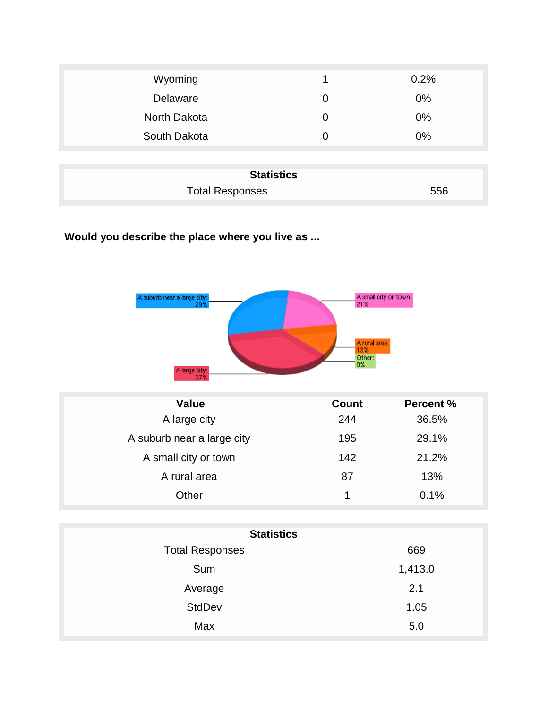| Wyoming      |          | 0.2%  |
|--------------|----------|-------|
| Delaware     | O        | $0\%$ |
| North Dakota | $\Omega$ | 0%    |
| South Dakota | O        | 0%    |
|              |          |       |

| <b>Statistics</b>      |     |  |
|------------------------|-----|--|
| <b>Total Responses</b> | 556 |  |

**Would you describe the place where you live as ...**

| A suburb near a large city:<br>29% |  | A small city or town:<br>21%         |
|------------------------------------|--|--------------------------------------|
| A large city:                      |  | A rural area:<br>13%<br>Other:<br>0% |

| <b>Value</b>               | <b>Count</b> | <b>Percent %</b> |
|----------------------------|--------------|------------------|
| A large city               | 244          | 36.5%            |
| A suburb near a large city | 195          | 29.1%            |
| A small city or town       | 142          | 21.2%            |
| A rural area               | 87           | 13%              |
| Other                      | 1            | 0.1%             |

| <b>Statistics</b>      |         |  |
|------------------------|---------|--|
| <b>Total Responses</b> | 669     |  |
| Sum                    | 1,413.0 |  |
| Average                | 2.1     |  |
| <b>StdDev</b>          | 1.05    |  |
| Max                    | 5.0     |  |